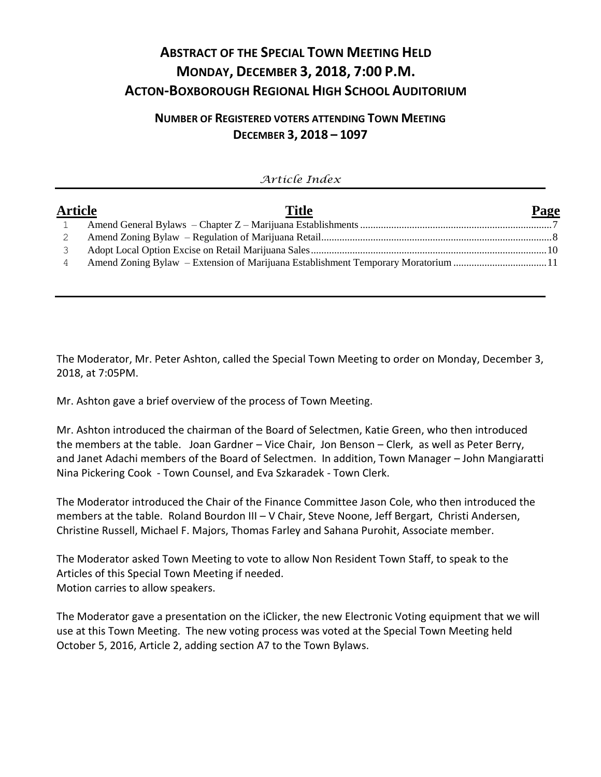# **ABSTRACT OF THE SPECIAL TOWN MEETING HELD MONDAY, DECEMBER 3, 2018, 7:00 P.M. ACTON-BOXBOROUGH REGIONAL HIGH SCHOOL AUDITORIUM**

# **NUMBER OF REGISTERED VOTERS ATTENDING TOWN MEETING DECEMBER 3, 2018 – 1097**

| Article Index  |                                                                                   |      |  |  |  |  |  |  |
|----------------|-----------------------------------------------------------------------------------|------|--|--|--|--|--|--|
| <b>Article</b> | <b>Title</b>                                                                      | Page |  |  |  |  |  |  |
|                |                                                                                   |      |  |  |  |  |  |  |
|                |                                                                                   |      |  |  |  |  |  |  |
|                |                                                                                   |      |  |  |  |  |  |  |
| 4              | Amend Zoning Bylaw – Extension of Marijuana Establishment Temporary Moratorium 11 |      |  |  |  |  |  |  |

The Moderator, Mr. Peter Ashton, called the Special Town Meeting to order on Monday, December 3, 2018, at 7:05PM.

Mr. Ashton gave a brief overview of the process of Town Meeting.

Mr. Ashton introduced the chairman of the Board of Selectmen, Katie Green, who then introduced the members at the table. Joan Gardner – Vice Chair, Jon Benson – Clerk, as well as Peter Berry, and Janet Adachi members of the Board of Selectmen. In addition, Town Manager – John Mangiaratti Nina Pickering Cook - Town Counsel, and Eva Szkaradek - Town Clerk.

The Moderator introduced the Chair of the Finance Committee Jason Cole, who then introduced the members at the table. Roland Bourdon III – V Chair, Steve Noone, Jeff Bergart, Christi Andersen, Christine Russell, Michael F. Majors, Thomas Farley and Sahana Purohit, Associate member.

The Moderator asked Town Meeting to vote to allow Non Resident Town Staff, to speak to the Articles of this Special Town Meeting if needed. Motion carries to allow speakers.

The Moderator gave a presentation on the iClicker, the new Electronic Voting equipment that we will use at this Town Meeting. The new voting process was voted at the Special Town Meeting held October 5, 2016, Article 2, adding section A7 to the Town Bylaws.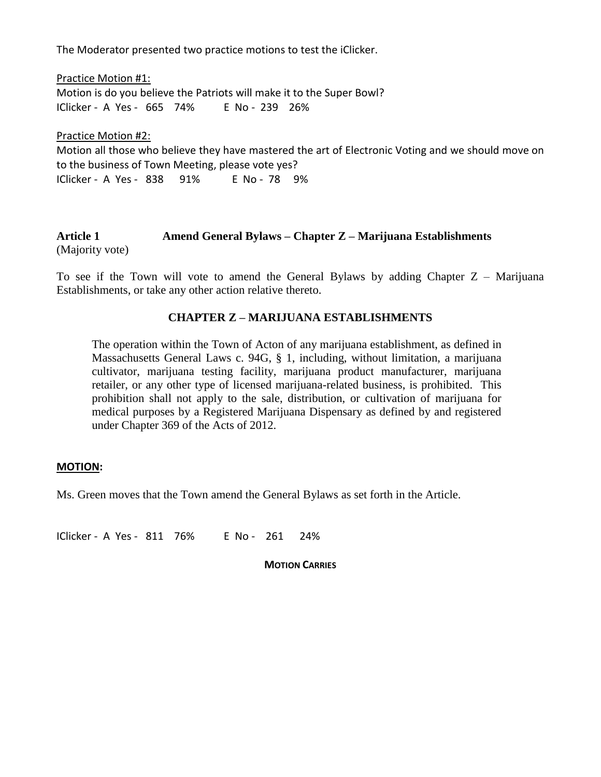The Moderator presented two practice motions to test the iClicker.

Practice Motion #1: Motion is do you believe the Patriots will make it to the Super Bowl? IClicker - A Yes - 665 74% E No - 239 26%

Practice Motion #2: Motion all those who believe they have mastered the art of Electronic Voting and we should move on to the business of Town Meeting, please vote yes? IClicker - A Yes - 838 91% E No - 78 9%

### **Article 1 Amend General Bylaws – Chapter Z – Marijuana Establishments** (Majority vote)

To see if the Town will vote to amend the General Bylaws by adding Chapter  $Z -$  Marijuana Establishments, or take any other action relative thereto.

### **CHAPTER Z – MARIJUANA ESTABLISHMENTS**

The operation within the Town of Acton of any marijuana establishment, as defined in Massachusetts General Laws c. 94G, § 1, including, without limitation, a marijuana cultivator, marijuana testing facility, marijuana product manufacturer, marijuana retailer, or any other type of licensed marijuana-related business, is prohibited. This prohibition shall not apply to the sale, distribution, or cultivation of marijuana for medical purposes by a Registered Marijuana Dispensary as defined by and registered under Chapter 369 of the Acts of 2012.

#### **MOTION:**

Ms. Green moves that the Town amend the General Bylaws as set forth in the Article.

IClicker - A Yes - 811 76% E No - 261 24%

**MOTION CARRIES**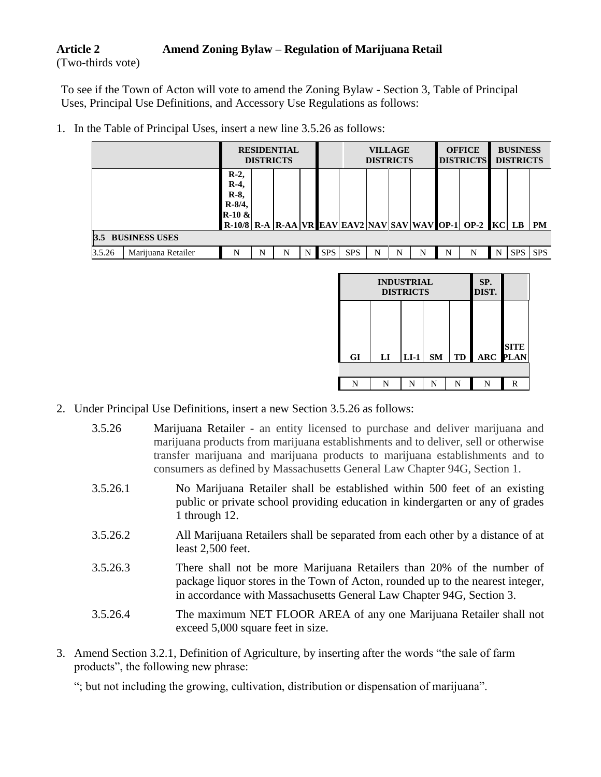# **Article 2 Amend Zoning Bylaw – Regulation of Marijuana Retail**

(Two-thirds vote)

To see if the Town of Acton will vote to amend the Zoning Bylaw - Section 3, Table of Principal Uses, Principal Use Definitions, and Accessory Use Regulations as follows:

|                              |                                                    | <b>RESIDENTIAL</b><br><b>DISTRICTS</b> |   |   |            | <b>VILLAGE</b><br><b>DISTRICTS</b> |   |   | <b>OFFICE</b><br><b>DISTRICTS</b> |   | <b>BUSINESS</b><br><b>DISTRICTS</b>                     |   |            |            |
|------------------------------|----------------------------------------------------|----------------------------------------|---|---|------------|------------------------------------|---|---|-----------------------------------|---|---------------------------------------------------------|---|------------|------------|
|                              | $R-2$<br>$R-4$<br>$R-8$<br>$R - 8/4$ ,<br>$R-10 &$ |                                        |   |   |            |                                    |   |   |                                   |   | R-10/8 R-A R-AA VR EAV EAV2 NAV SAV WAV OP-1 OP-2 KC LB |   |            | PM         |
| <b>BUSINESS USES</b><br>3.5  |                                                    |                                        |   |   |            |                                    |   |   |                                   |   |                                                         |   |            |            |
| 3.5.26<br>Marijuana Retailer | N                                                  | N                                      | N | N | <b>SPS</b> | <b>SPS</b>                         | N | N | N                                 | N | N                                                       | N | <b>SPS</b> | <b>SPS</b> |

1. In the Table of Principal Uses, insert a new line 3.5.26 as follows:

|    | <b>INDUSTRIAL</b><br><b>DISTRICTS</b> | SP.<br>DIST. |           |    |                 |             |
|----|---------------------------------------|--------------|-----------|----|-----------------|-------------|
| GI | $\mathbf{L}\mathbf{I}$                | $LI-1$       | <b>SM</b> | TD | <b>ARC PLAN</b> | <b>SITE</b> |
|    |                                       |              |           |    |                 |             |
| N  | N                                     | N            | N         | N  | N               | R           |

- 2. Under Principal Use Definitions, insert a new Section 3.5.26 as follows:
	- 3.5.26 Marijuana Retailer an entity licensed to purchase and deliver marijuana and marijuana products from marijuana establishments and to deliver, sell or otherwise transfer marijuana and marijuana products to marijuana establishments and to consumers as defined by Massachusetts General Law Chapter 94G, Section 1.
	- 3.5.26.1 No Marijuana Retailer shall be established within 500 feet of an existing public or private school providing education in kindergarten or any of grades 1 through 12.
	- 3.5.26.2 All Marijuana Retailers shall be separated from each other by a distance of at least 2,500 feet.
	- 3.5.26.3 There shall not be more Marijuana Retailers than 20% of the number of package liquor stores in the Town of Acton, rounded up to the nearest integer, in accordance with Massachusetts General Law Chapter 94G, Section 3.
	- 3.5.26.4 The maximum NET FLOOR AREA of any one Marijuana Retailer shall not exceed 5,000 square feet in size.
- 3. Amend Section 3.2.1, Definition of Agriculture, by inserting after the words "the sale of farm products", the following new phrase:

"; but not including the growing, cultivation, distribution or dispensation of marijuana".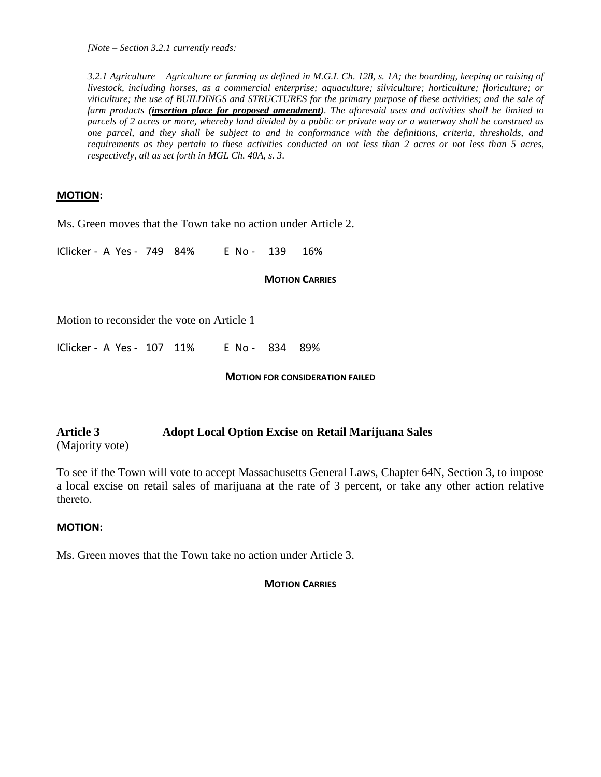*[Note – Section 3.2.1 currently reads:*

*3.2.1 Agriculture – Agriculture or farming as defined in M.G.L Ch. 128, s. 1A; the boarding, keeping or raising of livestock, including horses, as a commercial enterprise; aquaculture; silviculture; horticulture; floriculture; or viticulture; the use of BUILDINGS and STRUCTURES for the primary purpose of these activities; and the sale of farm products (insertion place for proposed amendment). The aforesaid uses and activities shall be limited to parcels of 2 acres or more, whereby land divided by a public or private way or a waterway shall be construed as one parcel, and they shall be subject to and in conformance with the definitions, criteria, thresholds, and requirements as they pertain to these activities conducted on not less than 2 acres or not less than 5 acres, respectively, all as set forth in MGL Ch. 40A, s. 3.*

#### **MOTION:**

Ms. Green moves that the Town take no action under Article 2.

IClicker - A Yes - 749 84% E No - 139 16%

#### **MOTION CARRIES**

Motion to reconsider the vote on Article 1

IClicker - A Yes - 107 11% E No - 834 89%

#### **MOTION FOR CONSIDERATION FAILED**

## **Article 3 Adopt Local Option Excise on Retail Marijuana Sales** (Majority vote)

To see if the Town will vote to accept Massachusetts General Laws, Chapter 64N, Section 3, to impose a local excise on retail sales of marijuana at the rate of 3 percent, or take any other action relative thereto.

#### **MOTION:**

Ms. Green moves that the Town take no action under Article 3.

#### **MOTION CARRIES**